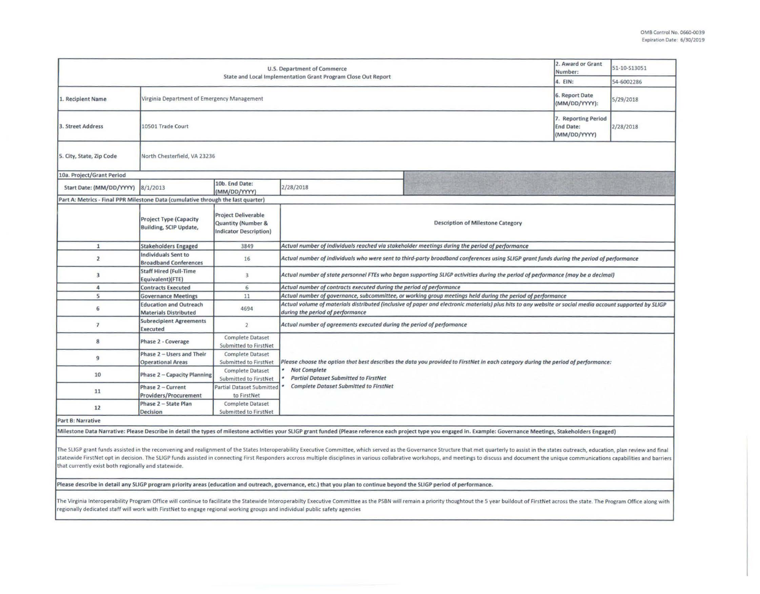| <b>U.S. Department of Commerce</b><br>State and Local Implementation Grant Program Close Out Report                                                                                                                                                                                                                                                                                                                                                                                                                                                                                                                                                                                                |                                                               |                                                                                       |                                                                                                                                                                                                                                                           | 2. Award or Grant<br>Number:<br>4. EIN:                                                                    | 51-10-S13051<br>54-6002286                              |           |  |
|----------------------------------------------------------------------------------------------------------------------------------------------------------------------------------------------------------------------------------------------------------------------------------------------------------------------------------------------------------------------------------------------------------------------------------------------------------------------------------------------------------------------------------------------------------------------------------------------------------------------------------------------------------------------------------------------------|---------------------------------------------------------------|---------------------------------------------------------------------------------------|-----------------------------------------------------------------------------------------------------------------------------------------------------------------------------------------------------------------------------------------------------------|------------------------------------------------------------------------------------------------------------|---------------------------------------------------------|-----------|--|
| 1. Recipient Name                                                                                                                                                                                                                                                                                                                                                                                                                                                                                                                                                                                                                                                                                  | Virginia Department of Emergency Management                   |                                                                                       |                                                                                                                                                                                                                                                           |                                                                                                            | 6. Report Date<br>(MM/DD/YYYY):                         | 5/29/2018 |  |
| 3. Street Address                                                                                                                                                                                                                                                                                                                                                                                                                                                                                                                                                                                                                                                                                  | 10501 Trade Court                                             |                                                                                       |                                                                                                                                                                                                                                                           |                                                                                                            | 7. Reporting Period<br><b>End Date:</b><br>(MM/DD/YYYY) | 2/28/2018 |  |
| 5. City, State, Zip Code                                                                                                                                                                                                                                                                                                                                                                                                                                                                                                                                                                                                                                                                           | North Chesterfield, VA 23236                                  |                                                                                       |                                                                                                                                                                                                                                                           |                                                                                                            |                                                         |           |  |
| 10a. Project/Grant Period                                                                                                                                                                                                                                                                                                                                                                                                                                                                                                                                                                                                                                                                          |                                                               |                                                                                       |                                                                                                                                                                                                                                                           |                                                                                                            |                                                         |           |  |
| Start Date: (MM/DD/YYYY)                                                                                                                                                                                                                                                                                                                                                                                                                                                                                                                                                                                                                                                                           | 8/1/2013                                                      | 10b. End Date:<br>(MM/DD/YYYY)                                                        | 2/28/2018                                                                                                                                                                                                                                                 |                                                                                                            |                                                         |           |  |
| Part A: Metrics - Final PPR Milestone Data (cumulative through the last quarter)                                                                                                                                                                                                                                                                                                                                                                                                                                                                                                                                                                                                                   |                                                               |                                                                                       |                                                                                                                                                                                                                                                           |                                                                                                            |                                                         |           |  |
|                                                                                                                                                                                                                                                                                                                                                                                                                                                                                                                                                                                                                                                                                                    | <b>Project Type (Capacity</b><br>Building, SCIP Update,       | <b>Project Deliverable</b><br><b>Quantity (Number &amp;</b><br>Indicator Description) | <b>Description of Milestone Category</b>                                                                                                                                                                                                                  |                                                                                                            |                                                         |           |  |
| $\mathbf{1}$                                                                                                                                                                                                                                                                                                                                                                                                                                                                                                                                                                                                                                                                                       | <b>Stakeholders Engaged</b>                                   | 3849                                                                                  | Actual number of individuals reached via stakeholder meetings during the period of performance                                                                                                                                                            |                                                                                                            |                                                         |           |  |
| $\overline{2}$                                                                                                                                                                                                                                                                                                                                                                                                                                                                                                                                                                                                                                                                                     | Individuals Sent to<br><b>Broadband Conferences</b>           | 16                                                                                    | Actual number of individuals who were sent to third-party broadband conferences using SLIGP grant funds during the period of performance                                                                                                                  |                                                                                                            |                                                         |           |  |
| 3                                                                                                                                                                                                                                                                                                                                                                                                                                                                                                                                                                                                                                                                                                  | <b>Staff Hired (Full-Time</b><br>Equivalent)(FTE)             | 3                                                                                     | Actual number of state personnel FTEs who began supporting SLIGP activities during the period of performance (may be a decimal)                                                                                                                           |                                                                                                            |                                                         |           |  |
| 4                                                                                                                                                                                                                                                                                                                                                                                                                                                                                                                                                                                                                                                                                                  | <b>Contracts Executed</b>                                     | 6                                                                                     | Actual number of contracts executed during the period of performance                                                                                                                                                                                      |                                                                                                            |                                                         |           |  |
| 5                                                                                                                                                                                                                                                                                                                                                                                                                                                                                                                                                                                                                                                                                                  | <b>Governance Meetings</b>                                    | 11                                                                                    |                                                                                                                                                                                                                                                           | Actual number of governance, subcommittee, or working group meetings held during the period of performance |                                                         |           |  |
| 6                                                                                                                                                                                                                                                                                                                                                                                                                                                                                                                                                                                                                                                                                                  | <b>Education and Outreach</b><br><b>Materials Distributed</b> | 4694                                                                                  | Actual volume of materials distributed (inclusive of paper and electronic materials) plus hits to any website or social media account supported by SLIGP<br>during the period of performance                                                              |                                                                                                            |                                                         |           |  |
| $\overline{1}$                                                                                                                                                                                                                                                                                                                                                                                                                                                                                                                                                                                                                                                                                     | <b>Subrecipient Agreements</b><br>Executed                    | $\overline{2}$                                                                        | Actual number of agreements executed during the period of performance                                                                                                                                                                                     |                                                                                                            |                                                         |           |  |
| 8                                                                                                                                                                                                                                                                                                                                                                                                                                                                                                                                                                                                                                                                                                  | Phase 2 - Coverage                                            | <b>Complete Dataset</b><br>Submitted to FirstNet                                      | Please choose the option that best describes the data you provided to FirstNet in each category during the period of performance:<br><b>Not Complete</b><br><b>Partial Dataset Submitted to FirstNet</b><br><b>Complete Dataset Submitted to FirstNet</b> |                                                                                                            |                                                         |           |  |
| 9                                                                                                                                                                                                                                                                                                                                                                                                                                                                                                                                                                                                                                                                                                  | Phase 2 - Users and Their<br><b>Operational Areas</b>         | <b>Complete Dataset</b><br>Submitted to FirstNet                                      |                                                                                                                                                                                                                                                           |                                                                                                            |                                                         |           |  |
| 10                                                                                                                                                                                                                                                                                                                                                                                                                                                                                                                                                                                                                                                                                                 | Phase 2 - Capacity Planning                                   | Complete Dataset<br>Submitted to FirstNet                                             |                                                                                                                                                                                                                                                           |                                                                                                            |                                                         |           |  |
| 11                                                                                                                                                                                                                                                                                                                                                                                                                                                                                                                                                                                                                                                                                                 | Phase 2 - Current<br><b>Providers/Procurement</b>             | <b>Partial Dataset Submitted</b><br>to FirstNet                                       |                                                                                                                                                                                                                                                           |                                                                                                            |                                                         |           |  |
| 12                                                                                                                                                                                                                                                                                                                                                                                                                                                                                                                                                                                                                                                                                                 | Phase 2 - State Plan<br><b>Decision</b>                       | <b>Complete Dataset</b><br>Submitted to FirstNet                                      |                                                                                                                                                                                                                                                           |                                                                                                            |                                                         |           |  |
| <b>Part B: Narrative</b>                                                                                                                                                                                                                                                                                                                                                                                                                                                                                                                                                                                                                                                                           |                                                               |                                                                                       |                                                                                                                                                                                                                                                           |                                                                                                            |                                                         |           |  |
| Milestone Data Narrative: Please Describe in detail the types of milestone activities your SLIGP grant funded (Please reference each project type you engaged in. Example: Governance Meetings, Stakeholders Engaged)                                                                                                                                                                                                                                                                                                                                                                                                                                                                              |                                                               |                                                                                       |                                                                                                                                                                                                                                                           |                                                                                                            |                                                         |           |  |
| The SLIGP grant funds assisted in the reconvening and realignment of the States Interoperability Executive Committee, which served as the Governance Structure that met quarterly to assist in the states outreach, education,<br>statewide FirstNet opt in decision. The SLIGP funds assisted in connecting First Responders accross multiple disciplines in various collabrative workshops, and meetings to discuss and document the unique communications cap<br>that currently exist both regionally and statewide.<br>Please describe in detail any SLIGP program priority areas (education and outreach, governance, etc.) that you plan to continue beyond the SLIGP period of performance. |                                                               |                                                                                       |                                                                                                                                                                                                                                                           |                                                                                                            |                                                         |           |  |
|                                                                                                                                                                                                                                                                                                                                                                                                                                                                                                                                                                                                                                                                                                    |                                                               |                                                                                       |                                                                                                                                                                                                                                                           |                                                                                                            |                                                         |           |  |

The Virginia Interoperability Program Office will continue to facilitate the Statewide Interoperabilty Executive Committee as the PSBN will remain a priority thoughtout the 5 year buildout of FirstNet across the state. The regionally dedicated staff will work with FirstNet to engage regional working groups and individual public safety agencies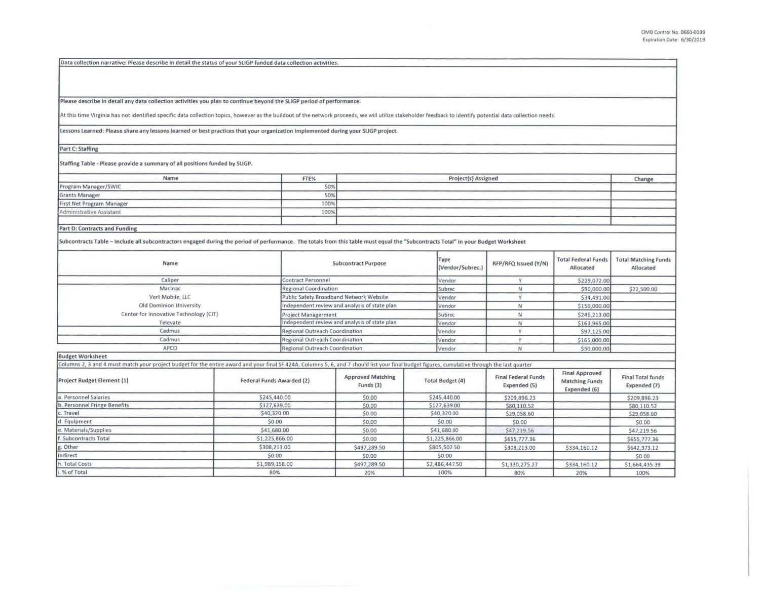Data collection narrative: Please describe in detail the status of your SLIGP funded data collection activities.

Please describe In detail any data collection activities you plan to continue beyond the SLIGP period of performance.

**At this time Virginia has not identified specific data collection topics, however as the buildout of the network proceeds, we will utilize stakeholder feedback to identify potential data collection needs.** 

Lessons Learned: Please share any lessons learned or best practices that your organization implemented during your SLIGP project.

Part C: Staffing

Staffing Table - Please provide a summary of all positions funded by SLIGP.

| Name                             | FTE% | Project(s) Assigned | Change |
|----------------------------------|------|---------------------|--------|
| Program Manager/SWIC             | 50%  |                     |        |
| Grants Manager                   | 50%  |                     |        |
| <b>First Net Program Manager</b> | 100% |                     |        |
| Administrative Assistant         | 100% |                     |        |
|                                  |      |                     |        |
| Part D: Contracts and Funding    |      |                     |        |

Part D: Contracts and Funding

Subcontracts Table - lndude all subcontractors engaged during the period of performance. The totals from this table must equal the "Subcontracts Total" In your Budget Worksheet

| <b>Name</b>                            | <b>Subcontract Purpose</b>                    | Type<br>(Vendor/Subrec.) | RFP/RFQ Issued (Y/N) | <b>Total Federal Funds</b><br>Allocated | <b>Total Matching Funds</b><br>Allocated |
|----------------------------------------|-----------------------------------------------|--------------------------|----------------------|-----------------------------------------|------------------------------------------|
| Caliper                                | Contract Personnel                            | Vendor                   |                      | \$229,072.00                            |                                          |
| Macinac                                | Regional Coordination                         | Subrec                   |                      | \$90,000.00                             | \$22,500.00                              |
| Vert Mobile, LLC                       | Public Safety Broadband Network Website       | Vendor                   |                      | \$34,491.00                             |                                          |
| Old Dominion University                | Independent review and analysis of state plan | Vendor                   |                      | \$150,000.00                            |                                          |
| Center for Innovative Technology (CIT) | <b>Project Managerment</b>                    | Subrec                   |                      | \$246,213.00                            |                                          |
| Televate                               | Independent review and analysis of state plan | Vendor                   |                      | \$163,965.00                            |                                          |
| Cadmus                                 | Regional Outreach Coordination                | Vendor                   |                      | \$97,125.00                             |                                          |
| Cadmus                                 | Regional Outreach Coordination                | Vendor                   |                      | \$165,000.00                            |                                          |
| APCO                                   | Regional Outreach Coordination                | Vendor                   |                      | \$50,000.00                             |                                          |

| <b>Budget Worksheet</b>      |                                                                                                                                                                                               |                                       |                         |                                            |                                                                |                                          |
|------------------------------|-----------------------------------------------------------------------------------------------------------------------------------------------------------------------------------------------|---------------------------------------|-------------------------|--------------------------------------------|----------------------------------------------------------------|------------------------------------------|
|                              | Columns 2, 3 and 4 must match your project budget for the entire award and your final SF 424A. Columns 5, 6, and 7 should list your final budget figures, cumulative through the last quarter |                                       |                         |                                            |                                                                |                                          |
| Project Budget Element (1)   | Federal Funds Awarded (2)                                                                                                                                                                     | <b>Approved Matching</b><br>Funds (3) | <b>Total Budget (4)</b> | <b>Final Federal Funds</b><br>Expended (5) | <b>Final Approved</b><br><b>Matching Funds</b><br>Expended (6) | <b>Final Total funds</b><br>Expended (7) |
| Personnel Salaries           | \$245,440.00                                                                                                                                                                                  | \$0.00                                | \$245,440.00            | \$209,896.23                               |                                                                | \$209,896.23                             |
| b. Personnel Fringe Benefits | \$127,639.00                                                                                                                                                                                  | \$0.00                                | \$127,639.00            | \$80,110.52                                |                                                                | \$80,110.52                              |
| c. Travel                    | \$40,320.00                                                                                                                                                                                   | \$0.00                                | \$40,320.00             | \$29,058.60                                |                                                                | \$29,058.60                              |
| . Equipment                  | \$0.00                                                                                                                                                                                        | \$0.00                                | \$0.00                  | \$0.00                                     |                                                                | \$0.00                                   |
| e. Materials/Supplies        | \$41,680.00                                                                                                                                                                                   | \$0.00                                | \$41,680.00             | \$47,219.56                                |                                                                | \$47,219.56                              |
| Subcontracts Total           | \$1,225,866.00                                                                                                                                                                                | \$0.00                                | \$1,225,866.00          | \$655,777.36                               |                                                                | \$655,777.36                             |
| g. Other                     | \$308,213.00                                                                                                                                                                                  | \$497,289.50                          | \$805,502.50            | \$308,213.00                               | \$334,160.12                                                   | \$642,373.12                             |
| Indirect                     | \$0.00                                                                                                                                                                                        | \$0.00                                | \$0.00                  |                                            |                                                                | \$0.00                                   |
| h. Total Costs               | \$1,989,158.00                                                                                                                                                                                | \$497,289.50                          | \$2,486,447.50          | \$1,330,275.27                             | \$334,160.12                                                   | \$1,664,435.39                           |
| i. % of Total                | 80%                                                                                                                                                                                           | 20%                                   | 100%                    | 80%                                        | 20%                                                            | 100%                                     |